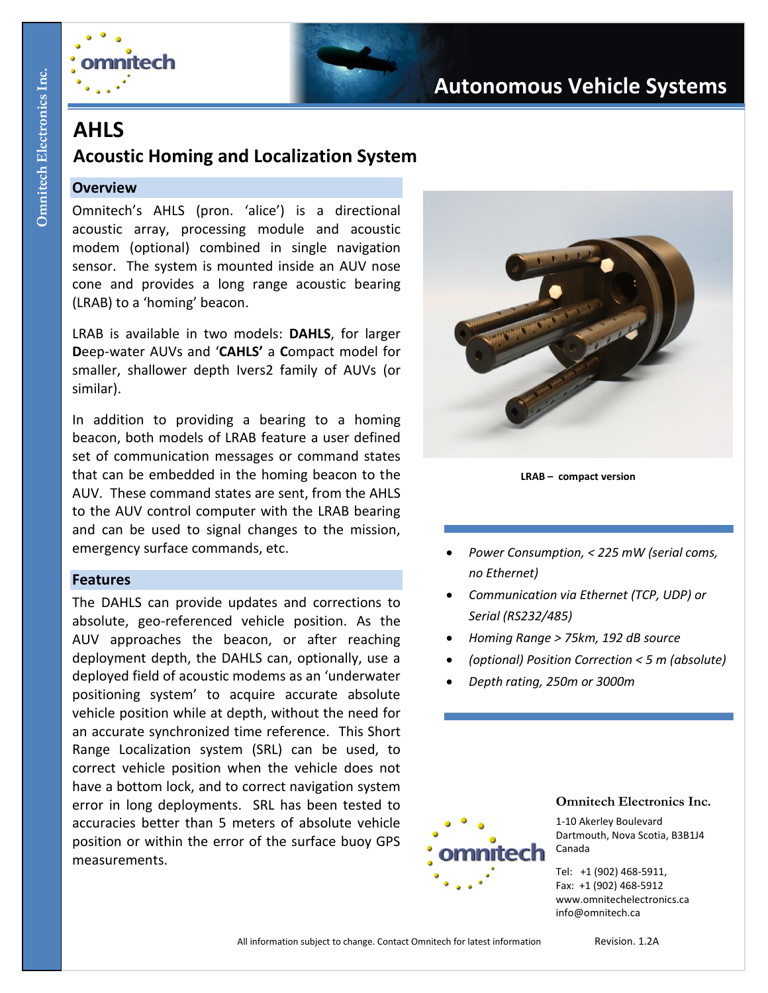

# **Autonomous Vehicle Systems**

## **AHLS**

### **Acoustic Homing and Localization System**

#### **Overview**

Omnitech's AHLS (pron. 'alice') is a directional acoustic array, processing module and acoustic modem (optional) combined in single navigation sensor. The system is mounted inside an AUV nose cone and provides a long range acoustic bearing (LRAB) to a 'homing' beacon.

LRAB is available in two models: **DAHLS**, for larger **D**eep-water AUVs and '**CAHLS'** a **C**ompact model for smaller, shallower depth Ivers2 family of AUVs (or similar).

In addition to providing a bearing to a homing beacon, both models of LRAB feature a user defined set of communication messages or command states that can be embedded in the homing beacon to the AUV. These command states are sent, from the AHLS to the AUV control computer with the LRAB bearing and can be used to signal changes to the mission, emergency surface commands, etc.

#### **Features**

The DAHLS can provide updates and corrections to absolute, geo-referenced vehicle position. As the AUV approaches the beacon, or after reaching deployment depth, the DAHLS can, optionally, use a deployed field of acoustic modems as an 'underwater positioning system' to acquire accurate absolute vehicle position while at depth, without the need for an accurate synchronized time reference. This Short Range Localization system (SRL) can be used, to correct vehicle position when the vehicle does not have a bottom lock, and to correct navigation system error in long deployments. SRL has been tested to accuracies better than 5 meters of absolute vehicle position or within the error of the surface buoy GPS measurements.



**LRAB – compact version**

- *Power Consumption, < 225 mW (serial coms, no Ethernet)*
- *Communication via Ethernet (TCP, UDP) or Serial (RS232/485)*
- *Homing Range > 75km, 192 dB source*
- *(optional) Position Correction < 5 m (absolute)*
- *Depth rating, 250m or 3000m*



#### **Omnitech Electronics Inc.**

1-10 Akerley Boulevard Dartmouth, Nova Scotia, B3B1J4 Canada

Tel: +1 (902) 468-5911, Fax: +1 (902) 468-5912 www.omnitechelectronics.ca info@omnitech.ca

All information subject to change. Contact Omnitech for latest information Revision. 1.2A